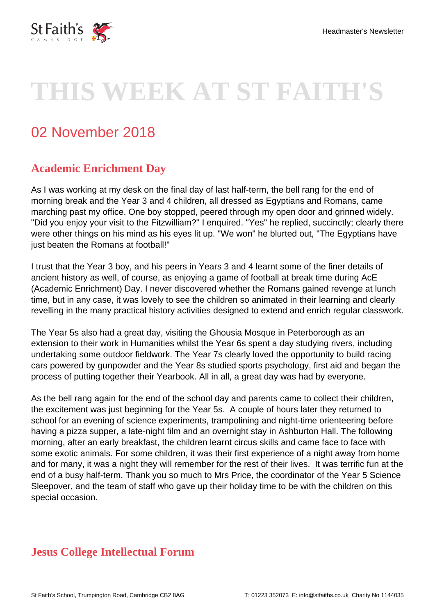

# **THIS WEEK AT ST FAITH'S**

## 02 November 2018

#### **Academic Enrichment Day**

As I was working at my desk on the final day of last half-term, the bell rang for the end of morning break and the Year 3 and 4 children, all dressed as Egyptians and Romans, came marching past my office. One boy stopped, peered through my open door and grinned widely. "Did you enjoy your visit to the Fitzwilliam?" I enquired. "Yes" he replied, succinctly; clearly there were other things on his mind as his eyes lit up. "We won" he blurted out, "The Egyptians have just beaten the Romans at football!"

I trust that the Year 3 boy, and his peers in Years 3 and 4 learnt some of the finer details of ancient history as well, of course, as enjoying a game of football at break time during AcE (Academic Enrichment) Day. I never discovered whether the Romans gained revenge at lunch time, but in any case, it was lovely to see the children so animated in their learning and clearly revelling in the many practical history activities designed to extend and enrich regular classwork.

The Year 5s also had a great day, visiting the Ghousia Mosque in Peterborough as an extension to their work in Humanities whilst the Year 6s spent a day studying rivers, including undertaking some outdoor fieldwork. The Year 7s clearly loved the opportunity to build racing cars powered by gunpowder and the Year 8s studied sports psychology, first aid and began the process of putting together their Yearbook. All in all, a great day was had by everyone.

As the bell rang again for the end of the school day and parents came to collect their children, the excitement was just beginning for the Year 5s. A couple of hours later they returned to school for an evening of science experiments, trampolining and night-time orienteering before having a pizza supper, a late-night film and an overnight stay in Ashburton Hall. The following morning, after an early breakfast, the children learnt circus skills and came face to face with some exotic animals. For some children, it was their first experience of a night away from home and for many, it was a night they will remember for the rest of their lives. It was terrific fun at the end of a busy half-term. Thank you so much to Mrs Price, the coordinator of the Year 5 Science Sleepover, and the team of staff who gave up their holiday time to be with the children on this special occasion.

#### **Jesus College Intellectual Forum**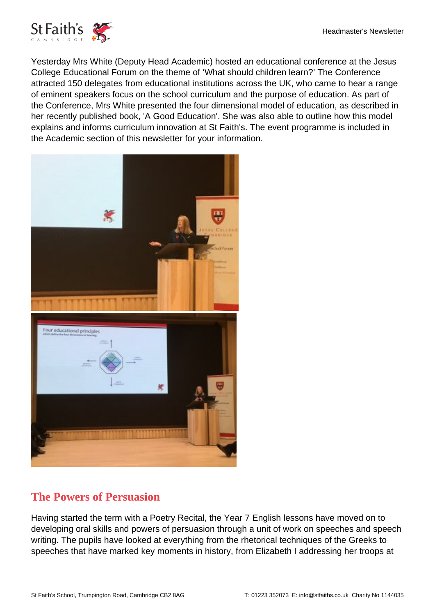

Yesterday Mrs White (Deputy Head Academic) hosted an educational conference at the Jesus College Educational Forum on the theme of 'What should children learn?' The Conference attracted 150 delegates from educational institutions across the UK, who came to hear a range of eminent speakers focus on the school curriculum and the purpose of education. As part of the Conference, Mrs White presented the four dimensional model of education, as described in her recently published book, 'A Good Education'. She was also able to outline how this model explains and informs curriculum innovation at St Faith's. The event programme is included in the Academic section of this newsletter for your information.



#### **The Powers of Persuasion**

Having started the term with a Poetry Recital, the Year 7 English lessons have moved on to developing oral skills and powers of persuasion through a unit of work on speeches and speech writing. The pupils have looked at everything from the rhetorical techniques of the Greeks to speeches that have marked key moments in history, from Elizabeth I addressing her troops at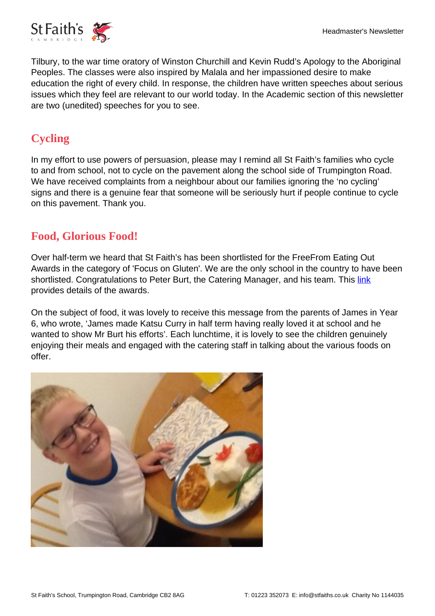

Tilbury, to the war time oratory of Winston Churchill and Kevin Rudd's Apology to the Aboriginal Peoples. The classes were also inspired by Malala and her impassioned desire to make education the right of every child. In response, the children have written speeches about serious issues which they feel are relevant to our world today. In the Academic section of this newsletter are two (unedited) speeches for you to see.

#### **Cycling**

In my effort to use powers of persuasion, please may I remind all St Faith's families who cycle to and from school, not to cycle on the pavement along the school side of Trumpington Road. We have received complaints from a neighbour about our families ignoring the 'no cycling' signs and there is a genuine fear that someone will be seriously hurt if people continue to cycle on this pavement. Thank you.

#### **Food, Glorious Food!**

Over half-term we heard that St Faith's has been shortlisted for the FreeFrom Eating Out Awards in the category of 'Focus on Gluten'. We are the only school in the country to have been shortlisted. Congratulations to Peter Burt, the Catering Manager, and his team. This [link](https://www.freefromeatingoutawards.co.uk/shortlist-18.html) provides details of the awards.

On the subject of food, it was lovely to receive this message from the parents of James in Year 6, who wrote, 'James made Katsu Curry in half term having really loved it at school and he wanted to show Mr Burt his efforts'. Each lunchtime, it is lovely to see the children genuinely enjoying their meals and engaged with the catering staff in talking about the various foods on offer.

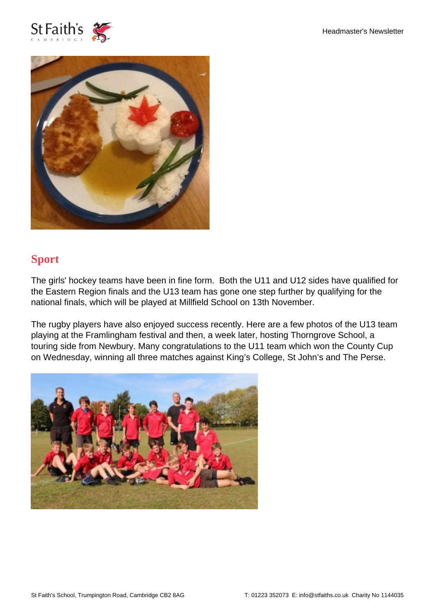



### **Sport**

The girls' hockey teams have been in fine form. Both the U11 and U12 sides have qualified for the Eastern Region finals and the U13 team has gone one step further by qualifying for the national finals, which will be played at Millfield School on 13th November.

The rugby players have also enjoyed success recently. Here are a few photos of the U13 team playing at the Framlingham festival and then, a week later, hosting Thorngrove School, a touring side from Newbury. Many congratulations to the U11 team which won the County Cup on Wednesday, winning all three matches against King's College, St John's and The Perse.

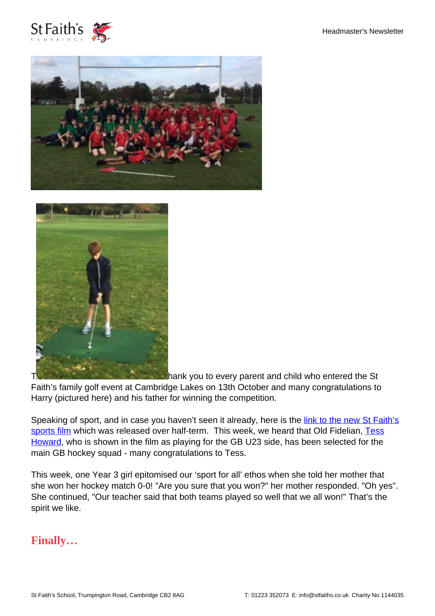





**T[h](https://www.stfaiths.co.uk/wp-content/uploads/2018/11/Golf-e1541156115510.jpg)ank you to every parent and child who entered the St** 

Faith's family golf event at Cambridge Lakes on 13th October and many congratulations to Harry (pictured here) and his father for winning the competition.

Speaking of sport, and in case you haven't seen it already, here is the [link to the new St Faith's](https://www.youtube.com/watch?v=qgLVytB0blo&feature=youtu.be) [sports film](https://www.youtube.com/watch?v=qgLVytB0blo&feature=youtu.be) which was released over half-term. This week, we heard that Old Fidelian, [Tess](https://www.stfaiths.co.uk/profile/tess-howard/) [Howard,](https://www.stfaiths.co.uk/profile/tess-howard/) who is shown in the film as playing for the GB U23 side, has been selected for the main GB hockey squad - many congratulations to Tess.

This week, one Year 3 girl epitomised our 'sport for all' ethos when she told her mother that she won her hockey match 0-0! "Are you sure that you won?" her mother responded. "Oh yes". She continued, "Our teacher said that both teams played so well that we all won!" That's the spirit we like.

#### **Finally…**